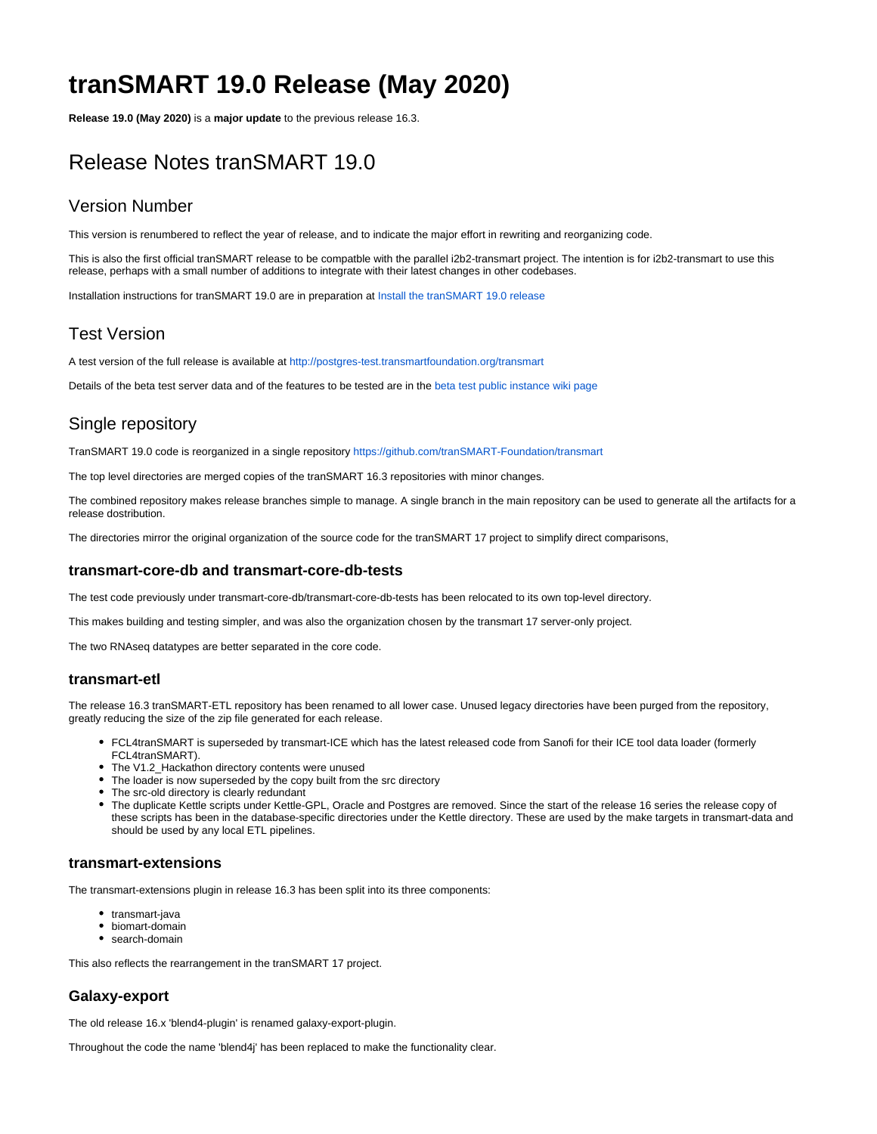# **tranSMART 19.0 Release (May 2020)**

**Release 19.0 (May 2020)** is a **major update** to the previous release 16.3.

# Release Notes tranSMART 19.0

# Version Number

This version is renumbered to reflect the year of release, and to indicate the major effort in rewriting and reorganizing code.

This is also the first official tranSMART release to be compatble with the parallel i2b2-transmart project. The intention is for i2b2-transmart to use this release, perhaps with a small number of additions to integrate with their latest changes in other codebases.

Installation instructions for tranSMART 19.0 are in preparation at [Install the tranSMART 19.0 release](https://wiki.transmartfoundation.org/display/transmartwiki/Install+the+tranSMART+19.0+release)

# Test Version

A test version of the full release is available at<http://postgres-test.transmartfoundation.org/transmart>

Details of the beta test server data and of the features to be tested are in the [beta test public instance wiki page](https://wiki.transmartfoundation.org/display/transmartwiki/Postgres+Release+Candidate+Test+Server)

# Single repository

TranSMART 19.0 code is reorganized in a single repository <https://github.com/tranSMART-Foundation/transmart>

The top level directories are merged copies of the tranSMART 16.3 repositories with minor changes.

The combined repository makes release branches simple to manage. A single branch in the main repository can be used to generate all the artifacts for a release dostribution.

The directories mirror the original organization of the source code for the tranSMART 17 project to simplify direct comparisons,

### **transmart-core-db and transmart-core-db-tests**

The test code previously under transmart-core-db/transmart-core-db-tests has been relocated to its own top-level directory.

This makes building and testing simpler, and was also the organization chosen by the transmart 17 server-only project.

The two RNAseq datatypes are better separated in the core code.

### **transmart-etl**

The release 16.3 tranSMART-ETL repository has been renamed to all lower case. Unused legacy directories have been purged from the repository, greatly reducing the size of the zip file generated for each release.

- FCL4tranSMART is superseded by transmart-ICE which has the latest released code from Sanofi for their ICE tool data loader (formerly FCL4tranSMART).
- The V1.2 Hackathon directory contents were unused
- The loader is now superseded by the copy built from the src directory
- The src-old directory is clearly redundant
- The duplicate Kettle scripts under Kettle-GPL, Oracle and Postgres are removed. Since the start of the release 16 series the release copy of these scripts has been in the database-specific directories under the Kettle directory. These are used by the make targets in transmart-data and should be used by any local ETL pipelines.

### **transmart-extensions**

The transmart-extensions plugin in release 16.3 has been split into its three components:

- transmart-java
- biomart-domain
- search-domain

This also reflects the rearrangement in the tranSMART 17 project.

# **Galaxy-export**

The old release 16.x 'blend4-plugin' is renamed galaxy-export-plugin.

Throughout the code the name 'blend4j' has been replaced to make the functionality clear.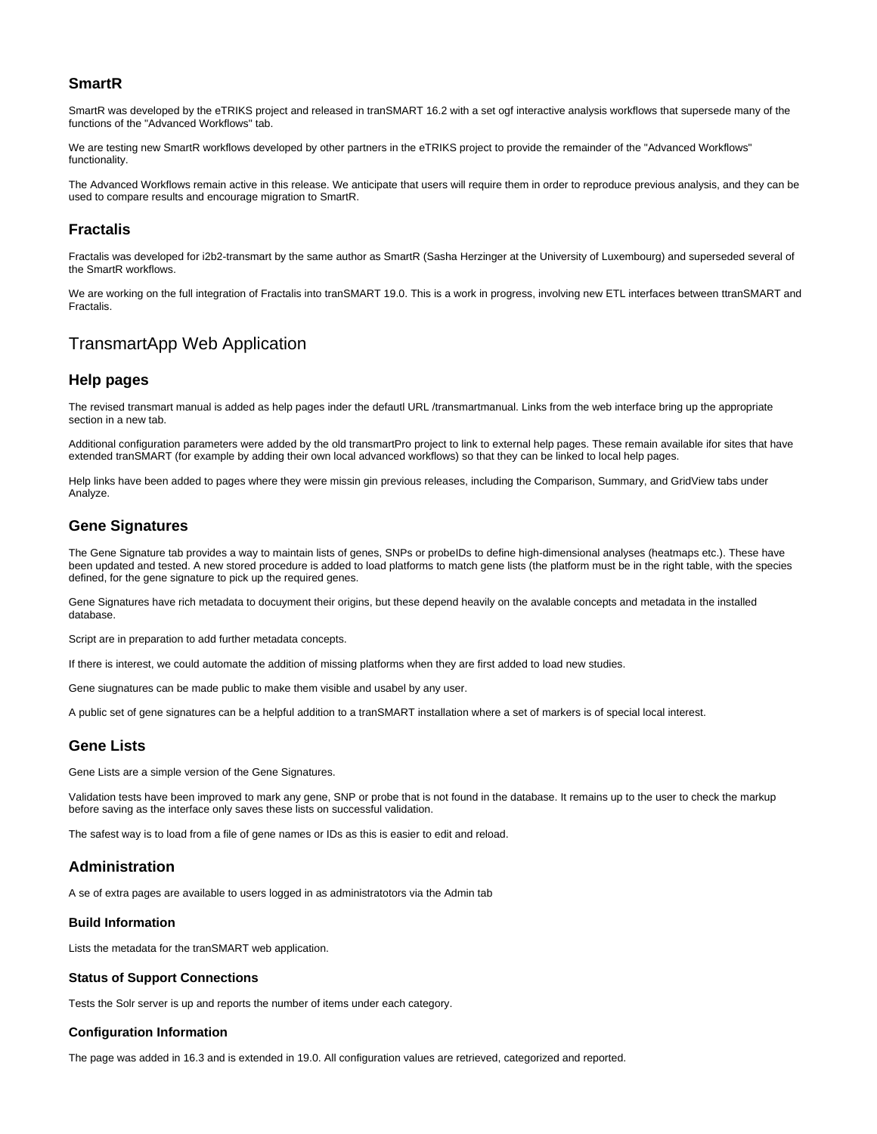# **SmartR**

SmartR was developed by the eTRIKS project and released in tranSMART 16.2 with a set ogf interactive analysis workflows that supersede many of the functions of the "Advanced Workflows" tab.

We are testing new SmartR workflows developed by other partners in the eTRIKS project to provide the remainder of the "Advanced Workflows" functionality.

The Advanced Workflows remain active in this release. We anticipate that users will require them in order to reproduce previous analysis, and they can be used to compare results and encourage migration to SmartR.

### **Fractalis**

Fractalis was developed for i2b2-transmart by the same author as SmartR (Sasha Herzinger at the University of Luxembourg) and superseded several of the SmartR workflows.

We are working on the full integration of Fractalis into tranSMART 19.0. This is a work in progress, involving new ETL interfaces between ttranSMART and Fractalis.

# TransmartApp Web Application

### **Help pages**

The revised transmart manual is added as help pages inder the defautl URL /transmartmanual. Links from the web interface bring up the appropriate section in a new tab.

Additional configuration parameters were added by the old transmartPro project to link to external help pages. These remain available ifor sites that have extended tranSMART (for example by adding their own local advanced workflows) so that they can be linked to local help pages.

Help links have been added to pages where they were missin gin previous releases, including the Comparison, Summary, and GridView tabs under Analyze.

# **Gene Signatures**

The Gene Signature tab provides a way to maintain lists of genes, SNPs or probeIDs to define high-dimensional analyses (heatmaps etc.). These have been updated and tested. A new stored procedure is added to load platforms to match gene lists (the platform must be in the right table, with the species defined, for the gene signature to pick up the required genes.

Gene Signatures have rich metadata to docuyment their origins, but these depend heavily on the avalable concepts and metadata in the installed database.

Script are in preparation to add further metadata concepts.

If there is interest, we could automate the addition of missing platforms when they are first added to load new studies.

Gene siugnatures can be made public to make them visible and usabel by any user.

A public set of gene signatures can be a helpful addition to a tranSMART installation where a set of markers is of special local interest.

# **Gene Lists**

Gene Lists are a simple version of the Gene Signatures.

Validation tests have been improved to mark any gene, SNP or probe that is not found in the database. It remains up to the user to check the markup before saving as the interface only saves these lists on successful validation.

The safest way is to load from a file of gene names or IDs as this is easier to edit and reload.

# **Administration**

A se of extra pages are available to users logged in as administratotors via the Admin tab

### **Build Information**

Lists the metadata for the tranSMART web application.

### **Status of Support Connections**

Tests the Solr server is up and reports the number of items under each category.

### **Configuration Information**

The page was added in 16.3 and is extended in 19.0. All configuration values are retrieved, categorized and reported.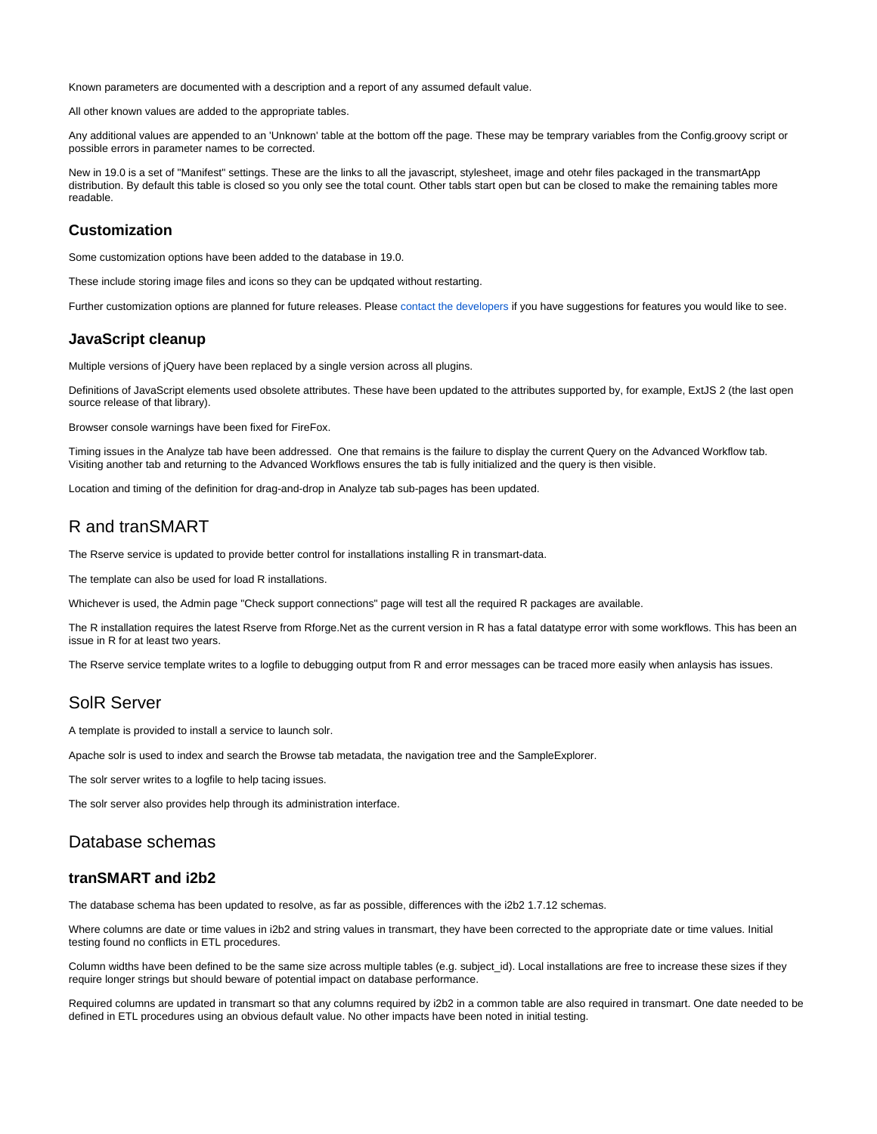Known parameters are documented with a description and a report of any assumed default value.

All other known values are added to the appropriate tables.

Any additional values are appended to an 'Unknown' table at the bottom off the page. These may be temprary variables from the Config.groovy script or possible errors in parameter names to be corrected.

New in 19.0 is a set of "Manifest" settings. These are the links to all the javascript, stylesheet, image and otehr files packaged in the transmartApp distribution. By default this table is closed so you only see the total count. Other tabls start open but can be closed to make the remaining tables more readable.

### **Customization**

Some customization options have been added to the database in 19.0.

These include storing image files and icons so they can be updqated without restarting.

Further customization options are planned for future releases. Please [contact the developers](mailto:support@transmartfoundation.org) if you have suggestions for features you would like to see.

#### **JavaScript cleanup**

Multiple versions of jQuery have been replaced by a single version across all plugins.

Definitions of JavaScript elements used obsolete attributes. These have been updated to the attributes supported by, for example, ExtJS 2 (the last open source release of that library).

Browser console warnings have been fixed for FireFox.

Timing issues in the Analyze tab have been addressed. One that remains is the failure to display the current Query on the Advanced Workflow tab. Visiting another tab and returning to the Advanced Workflows ensures the tab is fully initialized and the query is then visible.

Location and timing of the definition for drag-and-drop in Analyze tab sub-pages has been updated.

# R and tranSMART

The Rserve service is updated to provide better control for installations installing R in transmart-data.

The template can also be used for load R installations.

Whichever is used, the Admin page "Check support connections" page will test all the required R packages are available.

The R installation requires the latest Rserve from Rforge.Net as the current version in R has a fatal datatype error with some workflows. This has been an issue in R for at least two years.

The Rserve service template writes to a logfile to debugging output from R and error messages can be traced more easily when anlaysis has issues.

# SolR Server

A template is provided to install a service to launch solr.

Apache solr is used to index and search the Browse tab metadata, the navigation tree and the SampleExplorer.

The solr server writes to a logfile to help tacing issues.

The solr server also provides help through its administration interface.

# Database schemas

### **tranSMART and i2b2**

The database schema has been updated to resolve, as far as possible, differences with the i2b2 1.7.12 schemas.

Where columns are date or time values in i2b2 and string values in transmart, they have been corrected to the appropriate date or time values. Initial testing found no conflicts in ETL procedures.

Column widths have been defined to be the same size across multiple tables (e.g. subject\_id). Local installations are free to increase these sizes if they require longer strings but should beware of potential impact on database performance.

Required columns are updated in transmart so that any columns required by i2b2 in a common table are also required in transmart. One date needed to be defined in ETL procedures using an obvious default value. No other impacts have been noted in initial testing.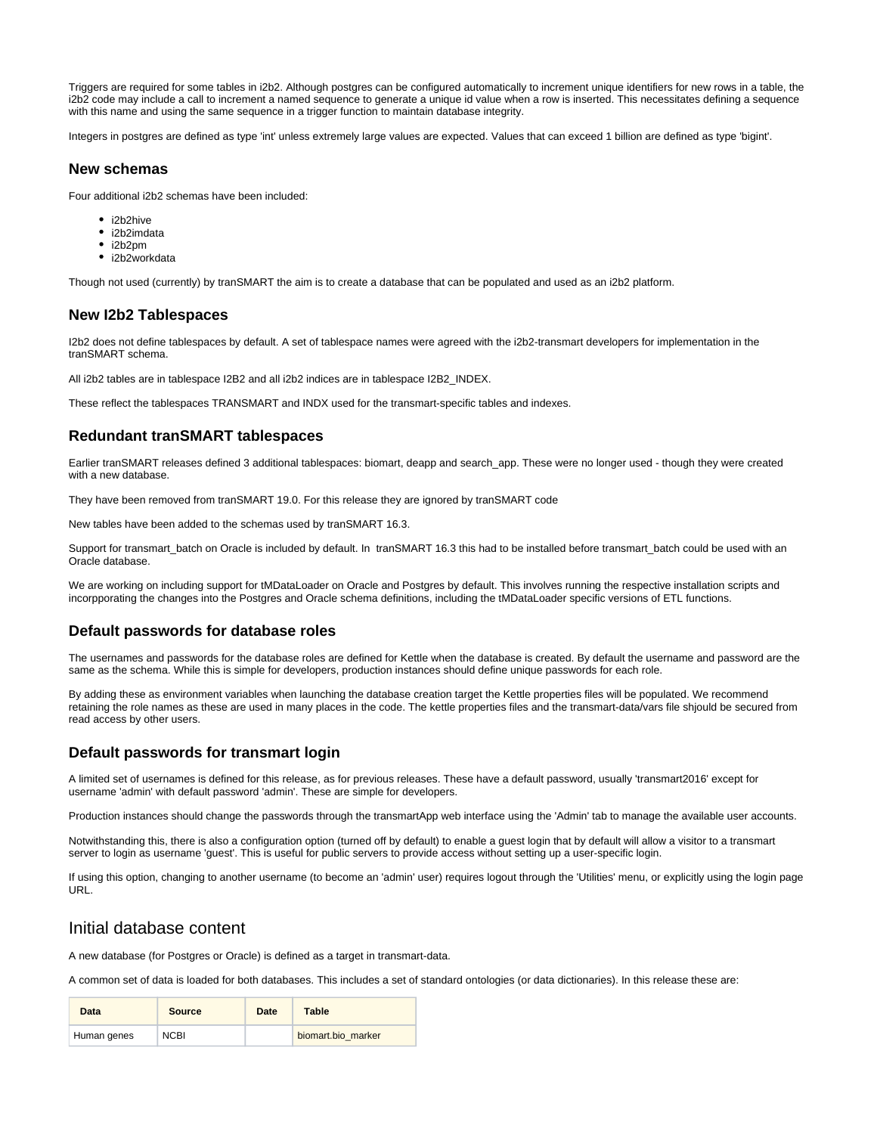Triggers are required for some tables in i2b2. Although postgres can be configured automatically to increment unique identifiers for new rows in a table, the i2b2 code may include a call to increment a named sequence to generate a unique id value when a row is inserted. This necessitates defining a sequence with this name and using the same sequence in a trigger function to maintain database integrity.

Integers in postgres are defined as type 'int' unless extremely large values are expected. Values that can exceed 1 billion are defined as type 'bigint'.

### **New schemas**

Four additional i2b2 schemas have been included:

- i2b2hive
- i2h2imdata
- i2b2pm
- i2b2workdata

Though not used (currently) by tranSMART the aim is to create a database that can be populated and used as an i2b2 platform.

### **New I2b2 Tablespaces**

I2b2 does not define tablespaces by default. A set of tablespace names were agreed with the i2b2-transmart developers for implementation in the tranSMART schema.

All i2b2 tables are in tablespace I2B2 and all i2b2 indices are in tablespace I2B2\_INDEX.

These reflect the tablespaces TRANSMART and INDX used for the transmart-specific tables and indexes.

# **Redundant tranSMART tablespaces**

Earlier tranSMART releases defined 3 additional tablespaces: biomart, deapp and search\_app. These were no longer used - though they were created with a new database.

They have been removed from tranSMART 19.0. For this release they are ignored by tranSMART code

New tables have been added to the schemas used by tranSMART 16.3.

Support for transmart\_batch on Oracle is included by default. In tranSMART 16.3 this had to be installed before transmart\_batch could be used with an Oracle database.

We are working on including support for tMDataLoader on Oracle and Postgres by default. This involves running the respective installation scripts and incorpporating the changes into the Postgres and Oracle schema definitions, including the tMDataLoader specific versions of ETL functions.

# **Default passwords for database roles**

The usernames and passwords for the database roles are defined for Kettle when the database is created. By default the username and password are the same as the schema. While this is simple for developers, production instances should define unique passwords for each role.

By adding these as environment variables when launching the database creation target the Kettle properties files will be populated. We recommend retaining the role names as these are used in many places in the code. The kettle properties files and the transmart-data/vars file shjould be secured from read access by other users.

### **Default passwords for transmart login**

A limited set of usernames is defined for this release, as for previous releases. These have a default password, usually 'transmart2016' except for username 'admin' with default password 'admin'. These are simple for developers.

Production instances should change the passwords through the transmartApp web interface using the 'Admin' tab to manage the available user accounts.

Notwithstanding this, there is also a configuration option (turned off by default) to enable a guest login that by default will allow a visitor to a transmart server to login as username 'guest'. This is useful for public servers to provide access without setting up a user-specific login.

If using this option, changing to another username (to become an 'admin' user) requires logout through the 'Utilities' menu, or explicitly using the login page URL.

# Initial database content

A new database (for Postgres or Oracle) is defined as a target in transmart-data.

A common set of data is loaded for both databases. This includes a set of standard ontologies (or data dictionaries). In this release these are:

| Data        | <b>Source</b> | Date | <b>Table</b>       |
|-------------|---------------|------|--------------------|
| Human genes | <b>NCBI</b>   |      | biomart.bio marker |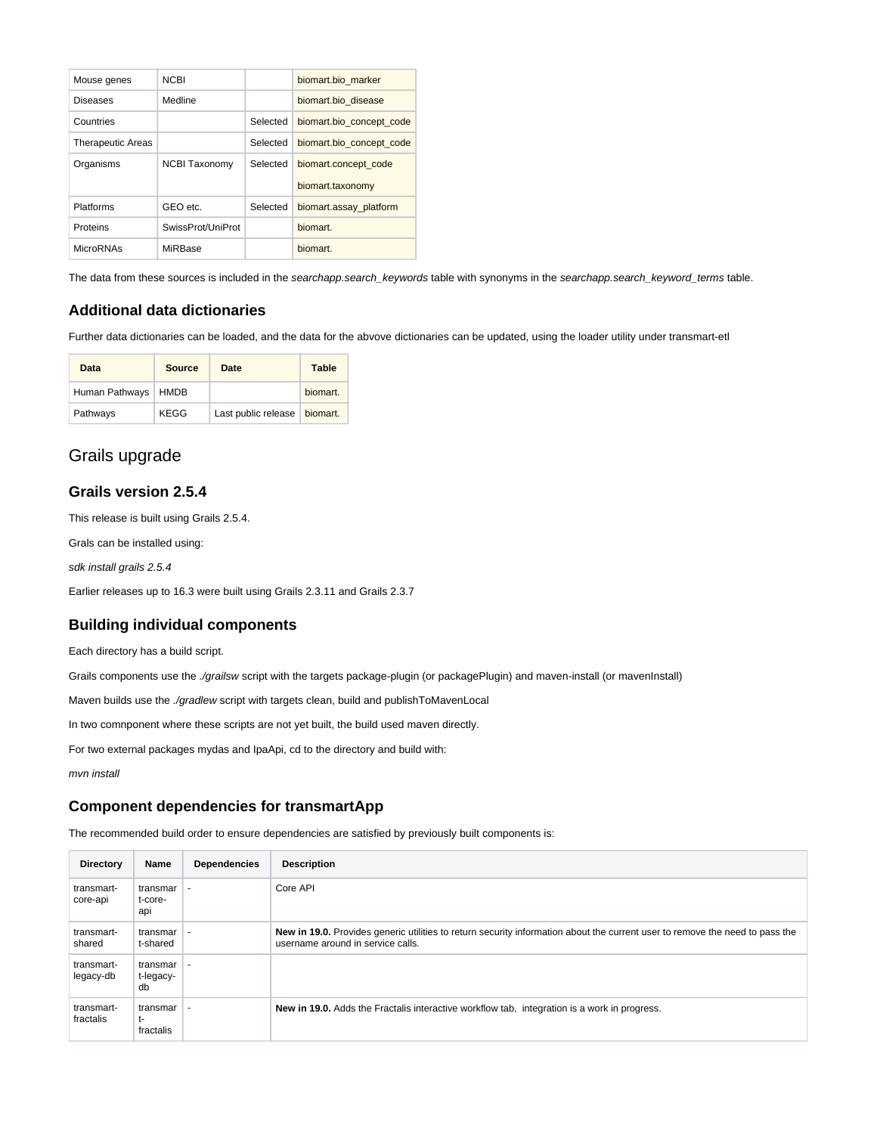| Mouse genes              | <b>NCBI</b>          |          | biomart.bio_marker       |
|--------------------------|----------------------|----------|--------------------------|
| <b>Diseases</b>          | Medline              |          | biomart.bio disease      |
| Countries                |                      | Selected | biomart.bio concept code |
| <b>Therapeutic Areas</b> |                      | Selected | biomart.bio concept code |
| Organisms                | <b>NCBI Taxonomy</b> | Selected | biomart.concept code     |
|                          |                      |          | biomart.taxonomy         |
| Platforms                | GEO etc.             | Selected | biomart.assay_platform   |
| Proteins                 | SwissProt/UniProt    |          | biomart.                 |
| <b>MicroRNAs</b>         | MiRBase              |          | biomart.                 |

The data from these sources is included in the searchapp.search\_keywords table with synonyms in the searchapp.search\_keyword\_terms table.

# **Additional data dictionaries**

Further data dictionaries can be loaded, and the data for the abvove dictionaries can be updated, using the loader utility under transmart-etl

| Data                  | <b>Source</b> | Date                | <b>Table</b> |
|-----------------------|---------------|---------------------|--------------|
| Human Pathways   HMDB |               |                     | biomart.     |
| Pathways              | <b>KEGG</b>   | Last public release | biomart.     |

# Grails upgrade

# **Grails version 2.5.4**

This release is built using Grails 2.5.4.

Grals can be installed using:

sdk install grails 2.5.4

Earlier releases up to 16.3 were built using Grails 2.3.11 and Grails 2.3.7

# **Building individual components**

Each directory has a build script.

Grails components use the ./grailsw script with the targets package-plugin (or packagePlugin) and maven-install (or mavenInstall)

Maven builds use the ./gradlew script with targets clean, build and publishToMavenLocal

In two comnponent where these scripts are not yet built, the build used maven directly.

For two external packages mydas and IpaApi, cd to the directory and build with:

mvn install

# **Component dependencies for transmartApp**

The recommended build order to ensure dependencies are satisfied by previously built components is:

| <b>Directory</b>        | Name                        | <b>Dependencies</b> | <b>Description</b>                                                                                                                                                |
|-------------------------|-----------------------------|---------------------|-------------------------------------------------------------------------------------------------------------------------------------------------------------------|
| transmart-<br>core-api  | transmar<br>t-core-<br>api  |                     | Core API                                                                                                                                                          |
| transmart-<br>shared    | transmar<br>t-shared        |                     | New in 19.0. Provides generic utilities to return security information about the current user to remove the need to pass the<br>username around in service calls. |
| transmart-<br>legacy-db | transmar<br>t-legacy-<br>db |                     |                                                                                                                                                                   |
| transmart-<br>fractalis | transmar<br>t-<br>fractalis |                     | New in 19.0. Adds the Fractalis interactive workflow tab, integration is a work in progress.                                                                      |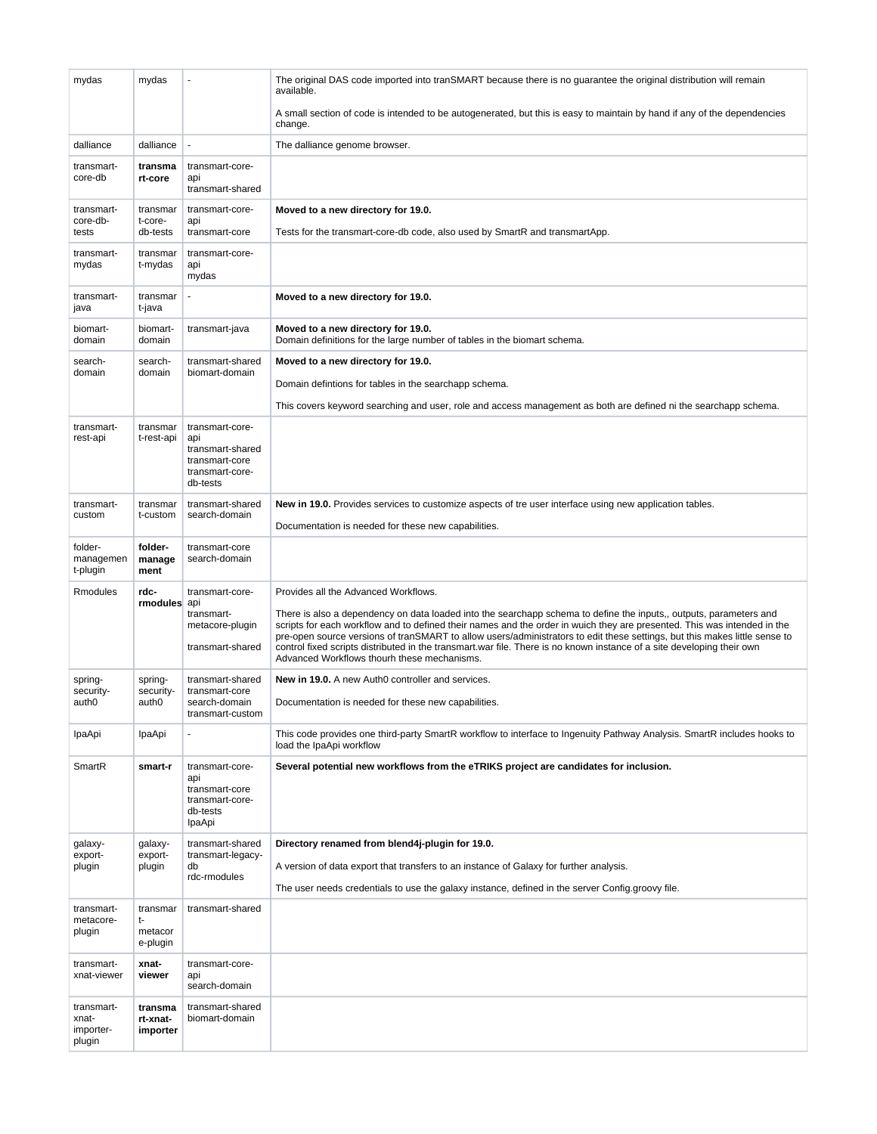| mydas                                      | mydas                                     |                                                                                             | The original DAS code imported into tranSMART because there is no guarantee the original distribution will remain<br>available.                                                                                                                                                                                                                                                                                                                                                                                                                       |
|--------------------------------------------|-------------------------------------------|---------------------------------------------------------------------------------------------|-------------------------------------------------------------------------------------------------------------------------------------------------------------------------------------------------------------------------------------------------------------------------------------------------------------------------------------------------------------------------------------------------------------------------------------------------------------------------------------------------------------------------------------------------------|
|                                            |                                           |                                                                                             | A small section of code is intended to be autogenerated, but this is easy to maintain by hand if any of the dependencies<br>change.                                                                                                                                                                                                                                                                                                                                                                                                                   |
| dalliance                                  | dalliance                                 |                                                                                             | The dalliance genome browser.                                                                                                                                                                                                                                                                                                                                                                                                                                                                                                                         |
| transmart-<br>core-db                      | transma<br>rt-core                        | transmart-core-<br>api<br>transmart-shared                                                  |                                                                                                                                                                                                                                                                                                                                                                                                                                                                                                                                                       |
| transmart-                                 | transmar                                  | transmart-core-                                                                             | Moved to a new directory for 19.0.                                                                                                                                                                                                                                                                                                                                                                                                                                                                                                                    |
| core-db-<br>tests                          | t-core-<br>db-tests                       | api<br>transmart-core                                                                       | Tests for the transmart-core-db code, also used by SmartR and transmartApp.                                                                                                                                                                                                                                                                                                                                                                                                                                                                           |
| transmart-<br>mydas                        | transmar<br>t-mydas                       | transmart-core-<br>api<br>mydas                                                             |                                                                                                                                                                                                                                                                                                                                                                                                                                                                                                                                                       |
| transmart-<br>java                         | transmar<br>t-java                        |                                                                                             | Moved to a new directory for 19.0.                                                                                                                                                                                                                                                                                                                                                                                                                                                                                                                    |
| biomart-<br>domain                         | biomart-<br>domain                        | transmart-java                                                                              | Moved to a new directory for 19.0.<br>Domain definitions for the large number of tables in the biomart schema.                                                                                                                                                                                                                                                                                                                                                                                                                                        |
| search-<br>domain                          | search-<br>domain                         | transmart-shared<br>biomart-domain                                                          | Moved to a new directory for 19.0.                                                                                                                                                                                                                                                                                                                                                                                                                                                                                                                    |
|                                            |                                           |                                                                                             | Domain defintions for tables in the searchapp schema.                                                                                                                                                                                                                                                                                                                                                                                                                                                                                                 |
|                                            |                                           |                                                                                             | This covers keyword searching and user, role and access management as both are defined ni the searchapp schema.                                                                                                                                                                                                                                                                                                                                                                                                                                       |
| transmart-<br>rest-api                     | transmar<br>t-rest-api                    | transmart-core-<br>api<br>transmart-shared<br>transmart-core<br>transmart-core-<br>db-tests |                                                                                                                                                                                                                                                                                                                                                                                                                                                                                                                                                       |
| transmart-<br>custom                       | transmar<br>t-custom                      | transmart-shared<br>search-domain                                                           | New in 19.0. Provides services to customize aspects of tre user interface using new application tables.                                                                                                                                                                                                                                                                                                                                                                                                                                               |
|                                            |                                           |                                                                                             | Documentation is needed for these new capabilities.                                                                                                                                                                                                                                                                                                                                                                                                                                                                                                   |
| folder-<br>managemen<br>t-plugin           | folder-<br>manage<br>ment                 | transmart-core<br>search-domain                                                             |                                                                                                                                                                                                                                                                                                                                                                                                                                                                                                                                                       |
| Rmodules                                   | rdc-<br>rmodules api                      | transmart-core-                                                                             | Provides all the Advanced Workflows.                                                                                                                                                                                                                                                                                                                                                                                                                                                                                                                  |
|                                            |                                           | transmart-<br>metacore-plugin<br>transmart-shared                                           | There is also a dependency on data loaded into the searchapp schema to define the inputs,, outputs, parameters and<br>scripts for each workflow and to defined their names and the order in wuich they are presented. This was intended in the<br>pre-open source versions of tranSMART to allow users/administrators to edit these settings, but this makes little sense to<br>control fixed scripts distributed in the transmart war file. There is no known instance of a site developing their own<br>Advanced Workflows thourh these mechanisms. |
| spring-<br>security-<br>auth <sub>0</sub>  | spring-<br>security-<br>auth <sub>0</sub> | transmart-shared<br>transmart-core<br>search-domain<br>transmart-custom                     | <b>New in 19.0.</b> A new Auth0 controller and services.<br>Documentation is needed for these new capabilities.                                                                                                                                                                                                                                                                                                                                                                                                                                       |
| IpaApi                                     | IpaApi                                    | ÷,                                                                                          | This code provides one third-party SmartR workflow to interface to Ingenuity Pathway Analysis. SmartR includes hooks to<br>load the IpaApi workflow                                                                                                                                                                                                                                                                                                                                                                                                   |
| SmartR                                     | smart-r                                   | transmart-core-<br>api<br>transmart-core<br>transmart-core-<br>db-tests<br>IpaApi           | Several potential new workflows from the eTRIKS project are candidates for inclusion.                                                                                                                                                                                                                                                                                                                                                                                                                                                                 |
| galaxy-                                    | galaxy-                                   | transmart-shared                                                                            | Directory renamed from blend4j-plugin for 19.0.                                                                                                                                                                                                                                                                                                                                                                                                                                                                                                       |
| export-<br>plugin                          | export-<br>plugin                         | transmart-legacy-<br>db                                                                     | A version of data export that transfers to an instance of Galaxy for further analysis.                                                                                                                                                                                                                                                                                                                                                                                                                                                                |
|                                            |                                           | rdc-rmodules                                                                                | The user needs credentials to use the galaxy instance, defined in the server Config groovy file.                                                                                                                                                                                                                                                                                                                                                                                                                                                      |
| transmart-<br>metacore-<br>plugin          | transmar<br>t-<br>metacor<br>e-plugin     | transmart-shared                                                                            |                                                                                                                                                                                                                                                                                                                                                                                                                                                                                                                                                       |
| transmart-<br>xnat-viewer                  | xnat-<br>viewer                           | transmart-core-<br>api<br>search-domain                                                     |                                                                                                                                                                                                                                                                                                                                                                                                                                                                                                                                                       |
| transmart-<br>xnat-<br>importer-<br>plugin | transma<br>rt-xnat-<br>importer           | transmart-shared<br>biomart-domain                                                          |                                                                                                                                                                                                                                                                                                                                                                                                                                                                                                                                                       |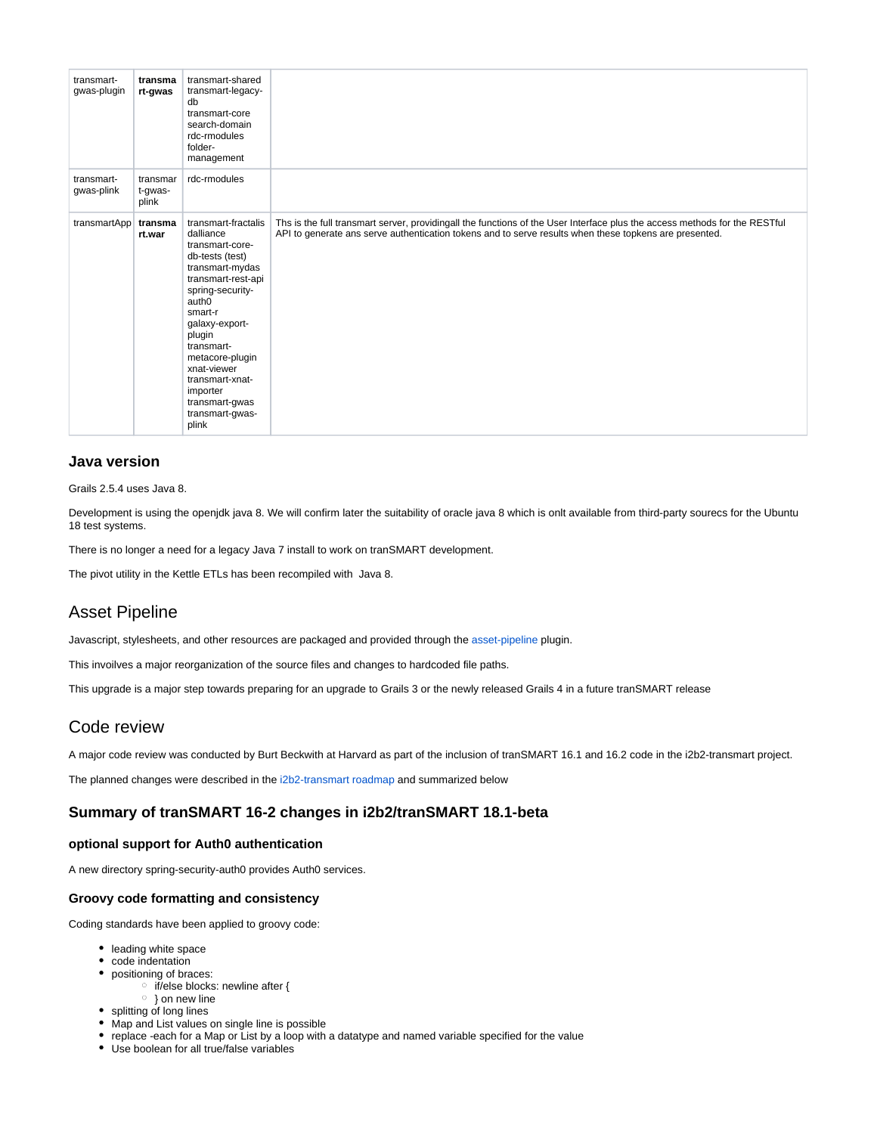| transmart-<br>gwas-plugin | transma<br>rt-gwas           | transmart-shared<br>transmart-legacy-<br>db<br>transmart-core<br>search-domain<br>rdc-rmodules<br>folder-<br>management                                                                                                                                                                                                      |                                                                                                                                                                                                                                      |
|---------------------------|------------------------------|------------------------------------------------------------------------------------------------------------------------------------------------------------------------------------------------------------------------------------------------------------------------------------------------------------------------------|--------------------------------------------------------------------------------------------------------------------------------------------------------------------------------------------------------------------------------------|
| transmart-<br>gwas-plink  | transmar<br>t-gwas-<br>plink | rdc-rmodules                                                                                                                                                                                                                                                                                                                 |                                                                                                                                                                                                                                      |
| transmartApp              | transma<br>rt.war            | transmart-fractalis<br>dalliance<br>transmart-core-<br>db-tests (test)<br>transmart-mydas<br>transmart-rest-api<br>spring-security-<br>auth <sub>0</sub><br>smart-r<br>galaxy-export-<br>plugin<br>transmart-<br>metacore-plugin<br>xnat-viewer<br>transmart-xnat-<br>importer<br>transmart-gwas<br>transmart-gwas-<br>plink | Ths is the full transmart server, providingall the functions of the User Interface plus the access methods for the RESTful<br>API to generate ans serve authentication tokens and to serve results when these topkens are presented. |

### **Java version**

Grails 2.5.4 uses Java 8.

Development is using the openjdk java 8. We will confirm later the suitability of oracle java 8 which is onlt available from third-party sourecs for the Ubuntu 18 test systems.

There is no longer a need for a legacy Java 7 install to work on tranSMART development.

The pivot utility in the Kettle ETLs has been recompiled with Java 8.

# Asset Pipeline

Javascript, stylesheets, and other resources are packaged and provided through the [asset-pipeline](https://plugins.grails.org/plugin/bertramlabs/asset-pipeline-grails) plugin.

This invoilves a major reorganization of the source files and changes to hardcoded file paths.

This upgrade is a major step towards preparing for an upgrade to Grails 3 or the newly released Grails 4 in a future tranSMART release

# Code review

A major code review was conducted by Burt Beckwith at Harvard as part of the inclusion of tranSMART 16.1 and 16.2 code in the i2b2-transmart project.

The planned changes were described in the [i2b2-transmart roadmap](http://roadmap-i2b2-transmart-pmc.hms.harvard.edu) and summarized below

# **Summary of tranSMART 16-2 changes in i2b2/tranSMART 18.1-beta**

### **optional support for Auth0 authentication**

A new directory spring-security-auth0 provides Auth0 services.

### **Groovy code formatting and consistency**

Coding standards have been applied to groovy code:

- leading white space
- code indentation
- positioning of braces:
	- $\circ$  if/else blocks: newline after {
	- $\circ$  } on new line
- splitting of long lines
- Map and List values on single line is possible
- replace -each for a Map or List by a loop with a datatype and named variable specified for the value
- Use boolean for all true/false variables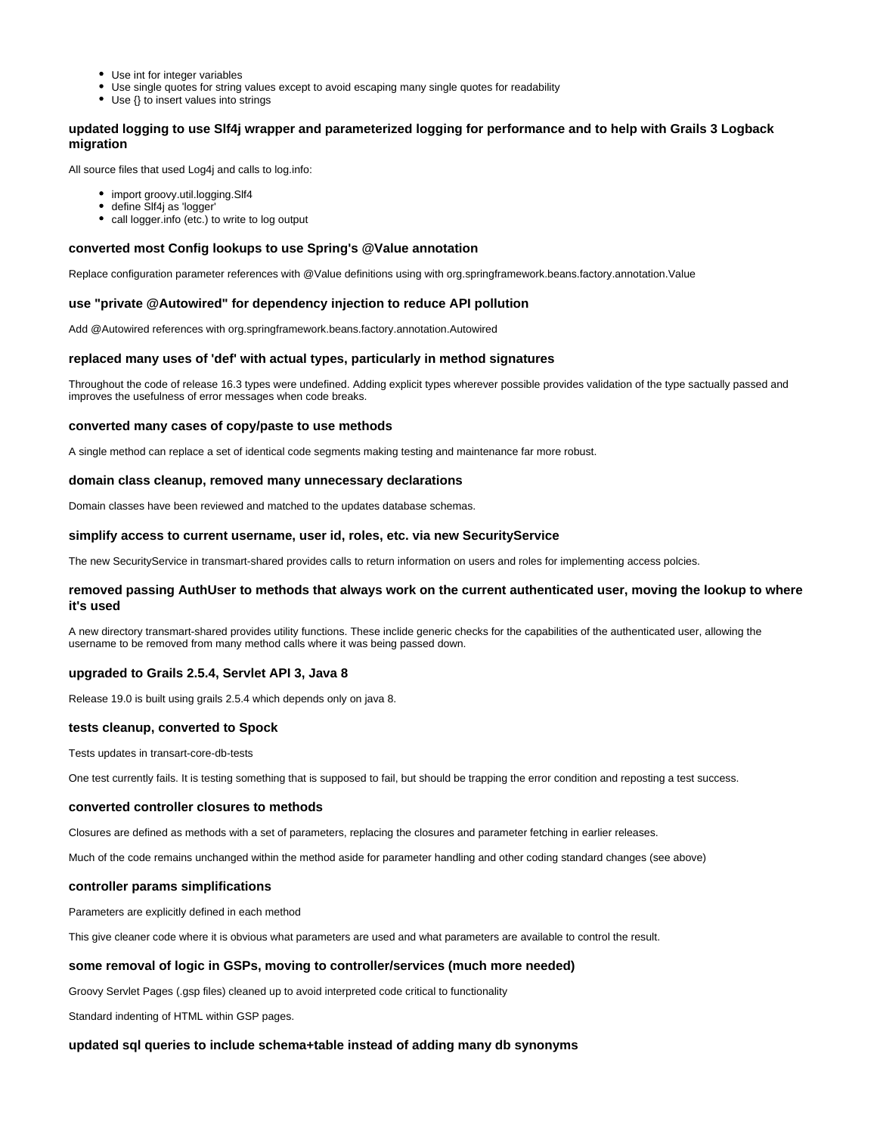- Use int for integer variables
- Use single quotes for string values except to avoid escaping many single quotes for readability
- Use {} to insert values into strings

### **updated logging to use Slf4j wrapper and parameterized logging for performance and to help with Grails 3 Logback migration**

All source files that used Log4j and calls to log.info:

- import groovy.util.logging.Slf4
- define Slf4j as 'logger
- call logger.info (etc.) to write to log output

#### **converted most Config lookups to use Spring's @Value annotation**

Replace configuration parameter references with @Value definitions using with org.springframework.beans.factory.annotation.Value

#### **use "private @Autowired" for dependency injection to reduce API pollution**

Add @Autowired references with org.springframework.beans.factory.annotation.Autowired

#### **replaced many uses of 'def' with actual types, particularly in method signatures**

Throughout the code of release 16.3 types were undefined. Adding explicit types wherever possible provides validation of the type sactually passed and improves the usefulness of error messages when code breaks.

#### **converted many cases of copy/paste to use methods**

A single method can replace a set of identical code segments making testing and maintenance far more robust.

#### **domain class cleanup, removed many unnecessary declarations**

Domain classes have been reviewed and matched to the updates database schemas.

#### **simplify access to current username, user id, roles, etc. via new SecurityService**

The new SecurityService in transmart-shared provides calls to return information on users and roles for implementing access polcies.

### **removed passing AuthUser to methods that always work on the current authenticated user, moving the lookup to where it's used**

A new directory transmart-shared provides utility functions. These inclide generic checks for the capabilities of the authenticated user, allowing the username to be removed from many method calls where it was being passed down.

#### **upgraded to Grails 2.5.4, Servlet API 3, Java 8**

Release 19.0 is built using grails 2.5.4 which depends only on java 8.

#### **tests cleanup, converted to Spock**

Tests updates in transart-core-db-tests

One test currently fails. It is testing something that is supposed to fail, but should be trapping the error condition and reposting a test success.

#### **converted controller closures to methods**

Closures are defined as methods with a set of parameters, replacing the closures and parameter fetching in earlier releases.

Much of the code remains unchanged within the method aside for parameter handling and other coding standard changes (see above)

#### **controller params simplifications**

Parameters are explicitly defined in each method

This give cleaner code where it is obvious what parameters are used and what parameters are available to control the result.

#### **some removal of logic in GSPs, moving to controller/services (much more needed)**

Groovy Servlet Pages (.gsp files) cleaned up to avoid interpreted code critical to functionality

Standard indenting of HTML within GSP pages.

#### **updated sql queries to include schema+table instead of adding many db synonyms**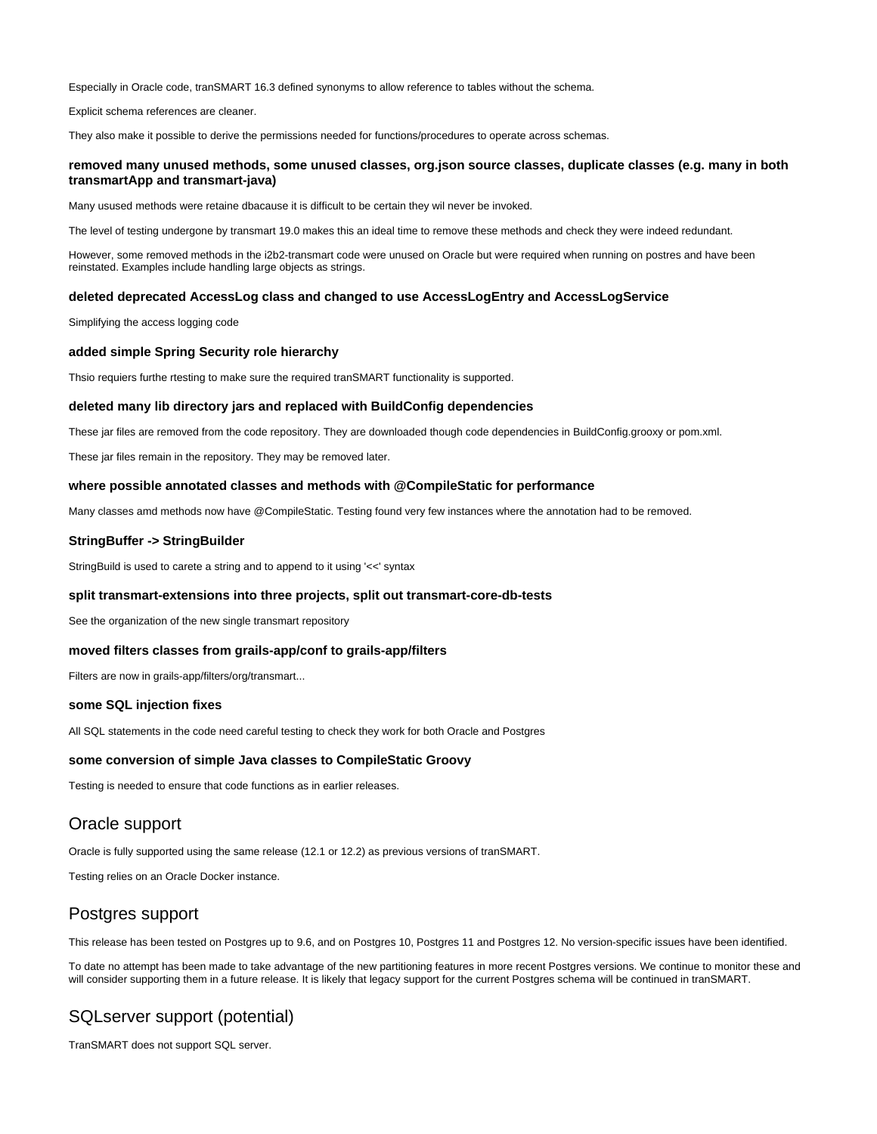Especially in Oracle code, tranSMART 16.3 defined synonyms to allow reference to tables without the schema.

Explicit schema references are cleaner.

They also make it possible to derive the permissions needed for functions/procedures to operate across schemas.

### **removed many unused methods, some unused classes, org.json source classes, duplicate classes (e.g. many in both transmartApp and transmart-java)**

Many usused methods were retaine dbacause it is difficult to be certain they wil never be invoked.

The level of testing undergone by transmart 19.0 makes this an ideal time to remove these methods and check they were indeed redundant.

However, some removed methods in the i2b2-transmart code were unused on Oracle but were required when running on postres and have been reinstated. Examples include handling large objects as strings.

#### **deleted deprecated AccessLog class and changed to use AccessLogEntry and AccessLogService**

Simplifying the access logging code

#### **added simple Spring Security role hierarchy**

Thsio requiers furthe rtesting to make sure the required tranSMART functionality is supported.

#### **deleted many lib directory jars and replaced with BuildConfig dependencies**

These jar files are removed from the code repository. They are downloaded though code dependencies in BuildConfig.grooxy or pom.xml.

These jar files remain in the repository. They may be removed later.

#### **where possible annotated classes and methods with @CompileStatic for performance**

Many classes amd methods now have @CompileStatic. Testing found very few instances where the annotation had to be removed.

#### **StringBuffer -> StringBuilder**

StringBuild is used to carete a string and to append to it using '<<' syntax

### **split transmart-extensions into three projects, split out transmart-core-db-tests**

See the organization of the new single transmart repository

#### **moved filters classes from grails-app/conf to grails-app/filters**

Filters are now in grails-app/filters/org/transmart...

#### **some SQL injection fixes**

All SQL statements in the code need careful testing to check they work for both Oracle and Postgres

#### **some conversion of simple Java classes to CompileStatic Groovy**

Testing is needed to ensure that code functions as in earlier releases.

### Oracle support

Oracle is fully supported using the same release (12.1 or 12.2) as previous versions of tranSMART.

Testing relies on an Oracle Docker instance.

# Postgres support

This release has been tested on Postgres up to 9.6, and on Postgres 10, Postgres 11 and Postgres 12. No version-specific issues have been identified.

To date no attempt has been made to take advantage of the new partitioning features in more recent Postgres versions. We continue to monitor these and will consider supporting them in a future release. It is likely that legacy support for the current Postgres schema will be continued in tranSMART.

# SQLserver support (potential)

TranSMART does not support SQL server.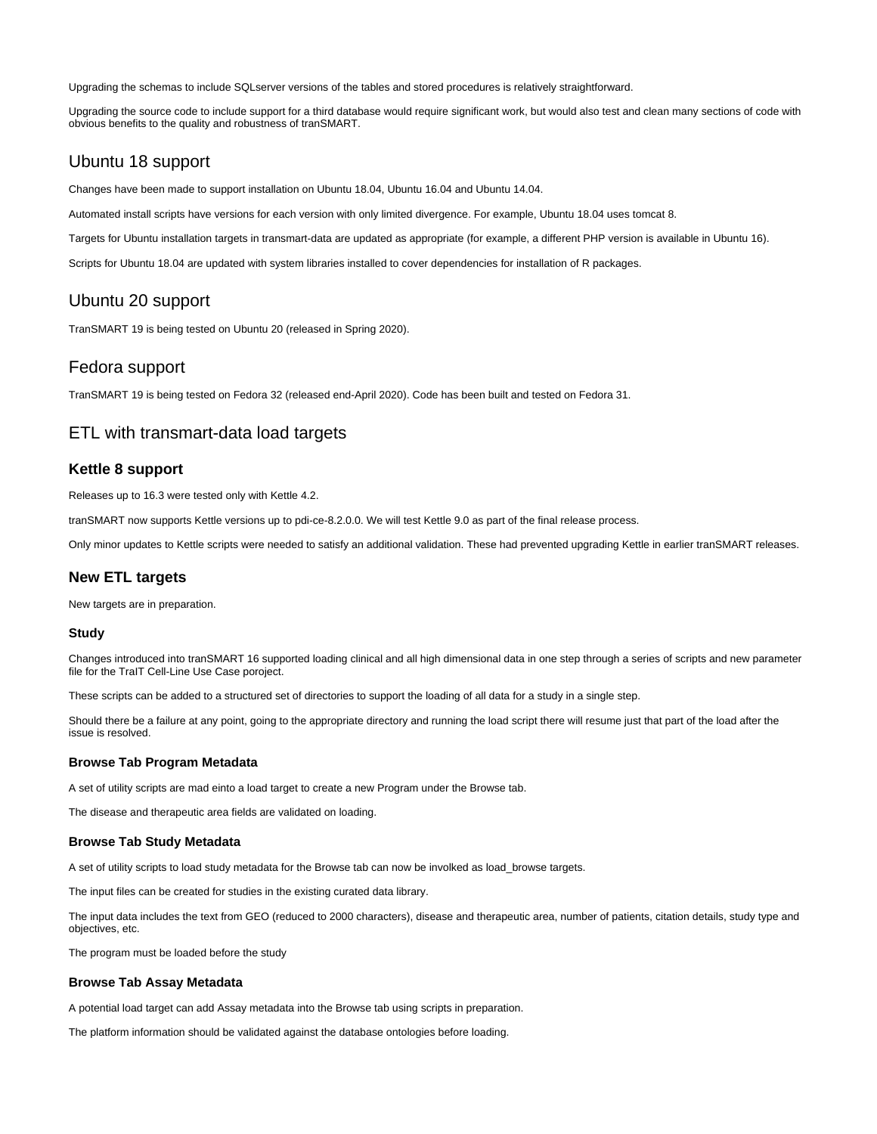Upgrading the schemas to include SQLserver versions of the tables and stored procedures is relatively straightforward.

Upgrading the source code to include support for a third database would require significant work, but would also test and clean many sections of code with obvious benefits to the quality and robustness of tranSMART.

# Ubuntu 18 support

Changes have been made to support installation on Ubuntu 18.04, Ubuntu 16.04 and Ubuntu 14.04.

Automated install scripts have versions for each version with only limited divergence. For example, Ubuntu 18.04 uses tomcat 8.

Targets for Ubuntu installation targets in transmart-data are updated as appropriate (for example, a different PHP version is available in Ubuntu 16).

Scripts for Ubuntu 18.04 are updated with system libraries installed to cover dependencies for installation of R packages.

# Ubuntu 20 support

TranSMART 19 is being tested on Ubuntu 20 (released in Spring 2020).

# Fedora support

TranSMART 19 is being tested on Fedora 32 (released end-April 2020). Code has been built and tested on Fedora 31.

# ETL with transmart-data load targets

### **Kettle 8 support**

Releases up to 16.3 were tested only with Kettle 4.2.

tranSMART now supports Kettle versions up to pdi-ce-8.2.0.0. We will test Kettle 9.0 as part of the final release process.

Only minor updates to Kettle scripts were needed to satisfy an additional validation. These had prevented upgrading Kettle in earlier tranSMART releases.

# **New ETL targets**

New targets are in preparation.

### **Study**

Changes introduced into tranSMART 16 supported loading clinical and all high dimensional data in one step through a series of scripts and new parameter file for the TraIT Cell-Line Use Case poroject.

These scripts can be added to a structured set of directories to support the loading of all data for a study in a single step.

Should there be a failure at any point, going to the appropriate directory and running the load script there will resume just that part of the load after the issue is resolved.

#### **Browse Tab Program Metadata**

A set of utility scripts are mad einto a load target to create a new Program under the Browse tab.

The disease and therapeutic area fields are validated on loading.

#### **Browse Tab Study Metadata**

A set of utility scripts to load study metadata for the Browse tab can now be involked as load\_browse targets.

The input files can be created for studies in the existing curated data library.

The input data includes the text from GEO (reduced to 2000 characters), disease and therapeutic area, number of patients, citation details, study type and objectives, etc.

The program must be loaded before the study

### **Browse Tab Assay Metadata**

A potential load target can add Assay metadata into the Browse tab using scripts in preparation.

The platform information should be validated against the database ontologies before loading.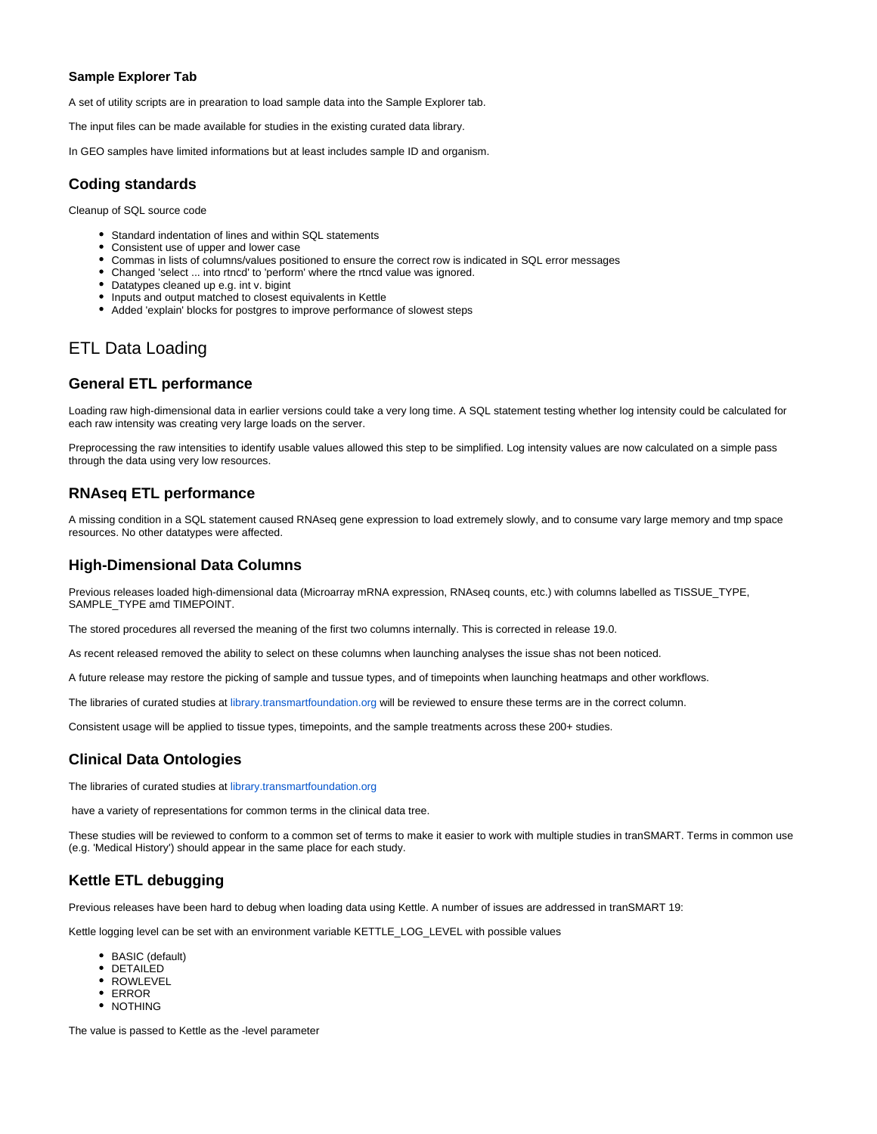### **Sample Explorer Tab**

A set of utility scripts are in prearation to load sample data into the Sample Explorer tab.

The input files can be made available for studies in the existing curated data library.

In GEO samples have limited informations but at least includes sample ID and organism.

# **Coding standards**

Cleanup of SQL source code

- Standard indentation of lines and within SQL statements
- Consistent use of upper and lower case
- Commas in lists of columns/values positioned to ensure the correct row is indicated in SQL error messages
- Changed 'select ... into rtncd' to 'perform' where the rtncd value was ignored.
- Datatypes cleaned up e.g. int v. bigint
- Inputs and output matched to closest equivalents in Kettle
- Added 'explain' blocks for postgres to improve performance of slowest steps

# ETL Data Loading

### **General ETL performance**

Loading raw high-dimensional data in earlier versions could take a very long time. A SQL statement testing whether log intensity could be calculated for each raw intensity was creating very large loads on the server.

Preprocessing the raw intensities to identify usable values allowed this step to be simplified. Log intensity values are now calculated on a simple pass through the data using very low resources.

# **RNAseq ETL performance**

A missing condition in a SQL statement caused RNAseq gene expression to load extremely slowly, and to consume vary large memory and tmp space resources. No other datatypes were affected.

### **High-Dimensional Data Columns**

Previous releases loaded high-dimensional data (Microarray mRNA expression, RNAseq counts, etc.) with columns labelled as TISSUE\_TYPE, SAMPLE\_TYPE amd TIMEPOINT.

The stored procedures all reversed the meaning of the first two columns internally. This is corrected in release 19.0.

As recent released removed the ability to select on these columns when launching analyses the issue shas not been noticed.

A future release may restore the picking of sample and tussue types, and of timepoints when launching heatmaps and other workflows.

The libraries of curated studies at [library.transmartfoundation.org](http://library.transmartfoundation.org) will be reviewed to ensure these terms are in the correct column.

Consistent usage will be applied to tissue types, timepoints, and the sample treatments across these 200+ studies.

# **Clinical Data Ontologies**

The libraries of curated studies at [library.transmartfoundation.org](http://library.transmartfoundation.org)

have a variety of representations for common terms in the clinical data tree.

These studies will be reviewed to conform to a common set of terms to make it easier to work with multiple studies in tranSMART. Terms in common use (e.g. 'Medical History') should appear in the same place for each study.

# **Kettle ETL debugging**

Previous releases have been hard to debug when loading data using Kettle. A number of issues are addressed in tranSMART 19:

Kettle logging level can be set with an environment variable KETTLE\_LOG\_LEVEL with possible values

- BASIC (default)
- DETAILED
- ROWLEVEL
- ERROR
- NOTHING

The value is passed to Kettle as the -level parameter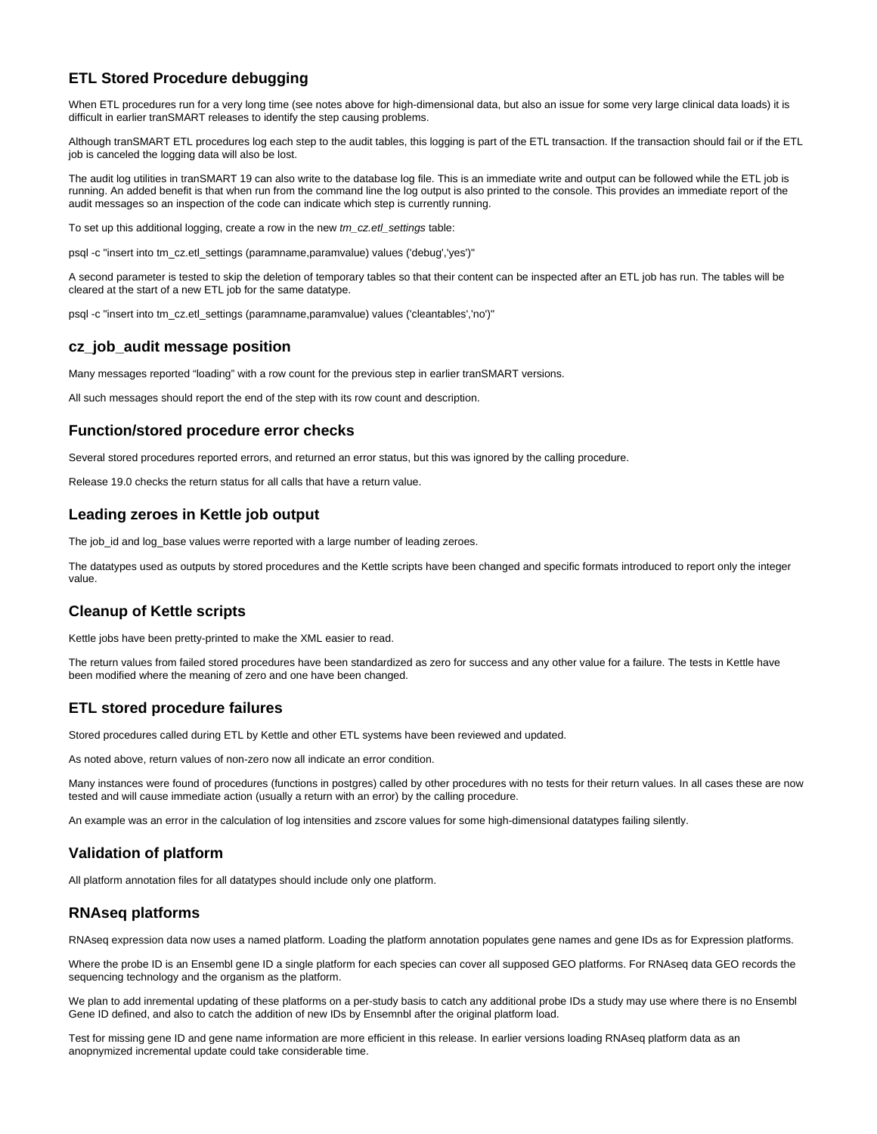# **ETL Stored Procedure debugging**

When ETL procedures run for a very long time (see notes above for high-dimensional data, but also an issue for some very large clinical data loads) it is difficult in earlier tranSMART releases to identify the step causing problems.

Although tranSMART ETL procedures log each step to the audit tables, this logging is part of the ETL transaction. If the transaction should fail or if the ETL job is canceled the logging data will also be lost.

The audit log utilities in tranSMART 19 can also write to the database log file. This is an immediate write and output can be followed while the ETL job is running. An added benefit is that when run from the command line the log output is also printed to the console. This provides an immediate report of the audit messages so an inspection of the code can indicate which step is currently running.

To set up this additional logging, create a row in the new tm\_cz.etl\_settings table:

psql -c "insert into tm\_cz.etl\_settings (paramname,paramvalue) values ('debug','yes')"

A second parameter is tested to skip the deletion of temporary tables so that their content can be inspected after an ETL job has run. The tables will be cleared at the start of a new ETL job for the same datatype.

psql -c "insert into tm\_cz.etl\_settings (paramname,paramvalue) values ('cleantables','no')"

### **cz\_job\_audit message position**

Many messages reported "loading" with a row count for the previous step in earlier tranSMART versions.

All such messages should report the end of the step with its row count and description.

### **Function/stored procedure error checks**

Several stored procedures reported errors, and returned an error status, but this was ignored by the calling procedure.

Release 19.0 checks the return status for all calls that have a return value.

### **Leading zeroes in Kettle job output**

The job\_id and log\_base values werre reported with a large number of leading zeroes.

The datatypes used as outputs by stored procedures and the Kettle scripts have been changed and specific formats introduced to report only the integer value.

### **Cleanup of Kettle scripts**

Kettle jobs have been pretty-printed to make the XML easier to read.

The return values from failed stored procedures have been standardized as zero for success and any other value for a failure. The tests in Kettle have been modified where the meaning of zero and one have been changed.

### **ETL stored procedure failures**

Stored procedures called during ETL by Kettle and other ETL systems have been reviewed and updated.

As noted above, return values of non-zero now all indicate an error condition.

Many instances were found of procedures (functions in postgres) called by other procedures with no tests for their return values. In all cases these are now tested and will cause immediate action (usually a return with an error) by the calling procedure.

An example was an error in the calculation of log intensities and zscore values for some high-dimensional datatypes failing silently.

# **Validation of platform**

All platform annotation files for all datatypes should include only one platform.

# **RNAseq platforms**

RNAseq expression data now uses a named platform. Loading the platform annotation populates gene names and gene IDs as for Expression platforms.

Where the probe ID is an Ensembl gene ID a single platform for each species can cover all supposed GEO platforms. For RNAseq data GEO records the sequencing technology and the organism as the platform.

We plan to add inremental updating of these platforms on a per-study basis to catch any additional probe IDs a study may use where there is no Ensembl Gene ID defined, and also to catch the addition of new IDs by Ensemnbl after the original platform load.

Test for missing gene ID and gene name information are more efficient in this release. In earlier versions loading RNAseq platform data as an anopnymized incremental update could take considerable time.